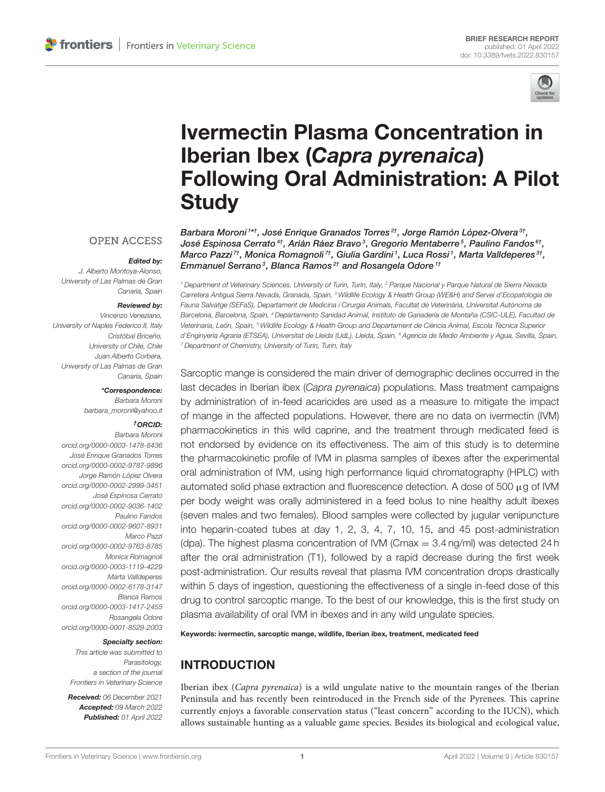

# Ivermectin Plasma Concentration in Iberian Ibex (Capra pyrenaica) [Following Oral Administration: A Pilot](https://www.frontiersin.org/articles/10.3389/fvets.2022.830157/full) **Study**

**OPEN ACCESS** 

#### Edited by:

J. Alberto Montoya-Alonso, University of Las Palmas de Gran Canaria, Spain

#### Reviewed by:

Vincenzo Veneziano, University of Naples Federico II, Italy Cristóbal Briceño, University of Chile, Chile Juan Alberto Corbera, University of Las Palmas de Gran Canaria, Spain

\*Correspondence:

Barbara Moroni [barbara\\_moroni@yahoo.it](mailto:barbara_moroni@yahoo.it)

#### †ORCID:

Barbara Moroni [orcid.org/0000-0003-1478-8436](https://orcid.org/0000-0003-1478-8436) José Enrique Granados Torres [orcid.org/0000-0002-9787-9896](https://orcid.org/0000-0002-9787-9896) Jorge Ramón López Olvera [orcid.org/0000-0002-2999-3451](https://orcid.org/0000-0002-2999-3451) José Espinosa Cerrato [orcid.org/0000-0002-9036-1402](https://orcid.org/0000-0002-9036-1402) Paulino Fandos [orcid.org/0000-0002-9607-8931](https://orcid.org/0000-0002-9607-8931) Marco Pazzi [orcid.org/0000-0002-9763-8785](https://orcid.org/0000-0002-9763-8785) Monica Romagnoli [orcid.org/0000-0003-1119-4229](https://orcid.org/0000-0003-1119-4229) Marta Valldeperes [orcid.org/0000-0002-6178-3147](https://orcid.org/0000-0002-6178-3147) Blanca Ramos [orcid.org/0000-0003-1417-2455](https://orcid.org/0000-0003-1417-2455) Rosangela Odore [orcid.org/0000-0001-8529-2003](https://orcid.org/0000-0001-8529-2003)

#### Specialty section:

This article was submitted to Parasitology, a section of the journal Frontiers in Veterinary Science

Received: 06 December 2021 Accepted: 09 March 2022 Published: 01 April 2022

Emmanuel Serrano<sup>3</sup>, Blanca Ramos<sup>2†</sup> and Rosangela Odore<sup>1†</sup> <sup>1</sup> Department of Veterinary Sciences, University of Turin, Turin, Italy, <sup>2</sup> Parque Nacional y Parque Natural de Sierra Nevada Carretera Antigua Sierra Nevada, Granada, Spain, <sup>3</sup> Wildlife Ecology & Health Group (WE&H) and Servei d'Ecopatologia de Fauna Salvatge (SEFaS), Departament de Medicina i Cirurgia Animals, Facultat de Veterinària, Universitat Autònoma de Barcelona, Barcelona, Spain, <sup>4</sup> Departamento Sanidad Animal, Instituto de Ganadería de Montaña (CSIC-ULE), Facultad de

Barbara Moroni 1\*†, José Enrique Granados Torres<sup>2†</sup>, Jorge Ramón López-Olvera<sup>3†</sup>, José Espinosa Cerrato $^{4\dagger}$ , Arián Ráez Bravo $^3$ , Gregorio Mentaberre $^5$ , Paulino Fandos $^{6\dagger}$ , Marco Pazzi $^{7\dagger}$ , Monica Romagnoli $^{7\dagger}$ , Giulia Gardini $^1$ , Luca Rossi $^1$ , Marta Valldeperes $^{3\dagger}$ ,

Veterinaria, León, Spain, <sup>5</sup> Wildlife Ecology & Health Group and Departament de Ciència Animal, Escola Tècnica Superior d'Enginyeria Agraria (ETSEA), Universitat de Lleida (UdL), Lleida, Spain, <sup>6</sup> Agencia de Medio Ambiente y Agua, Sevilla, Spain, <sup>7</sup> Department of Chemistry, University of Turin, Turin, Italy

Sarcoptic mange is considered the main driver of demographic declines occurred in the last decades in Iberian ibex (Capra pyrenaica) populations. Mass treatment campaigns by administration of in-feed acaricides are used as a measure to mitigate the impact of mange in the affected populations. However, there are no data on ivermectin (IVM) pharmacokinetics in this wild caprine, and the treatment through medicated feed is not endorsed by evidence on its effectiveness. The aim of this study is to determine the pharmacokinetic profile of IVM in plasma samples of ibexes after the experimental oral administration of IVM, using high performance liquid chromatography (HPLC) with automated solid phase extraction and fluorescence detection. A dose of 500 µg of IVM per body weight was orally administered in a feed bolus to nine healthy adult ibexes (seven males and two females). Blood samples were collected by jugular venipuncture into heparin-coated tubes at day 1, 2, 3, 4, 7, 10, 15, and 45 post-administration (dpa). The highest plasma concentration of IVM (Cmax  $= 3.4$  ng/ml) was detected 24 h after the oral administration (T1), followed by a rapid decrease during the first week post-administration. Our results reveal that plasma IVM concentration drops drastically within 5 days of ingestion, questioning the effectiveness of a single in-feed dose of this drug to control sarcoptic mange. To the best of our knowledge, this is the first study on plasma availability of oral IVM in ibexes and in any wild ungulate species.

Keywords: ivermectin, sarcoptic mange, wildlife, Iberian ibex, treatment, medicated feed

# INTRODUCTION

Iberian ibex (Capra pyrenaica) is a wild ungulate native to the mountain ranges of the Iberian Peninsula and has recently been reintroduced in the French side of the Pyrenees. This caprine currently enjoys a favorable conservation status ("least concern" according to the IUCN), which allows sustainable hunting as a valuable game species. Besides its biological and ecological value,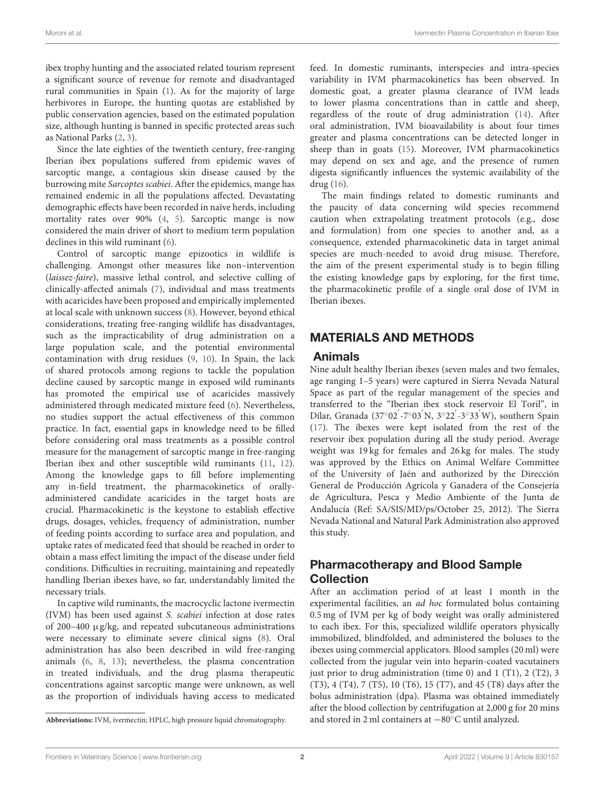ibex trophy hunting and the associated related tourism represent a significant source of revenue for remote and disadvantaged rural communities in Spain [\(1\)](#page-5-0). As for the majority of large herbivores in Europe, the hunting quotas are established by public conservation agencies, based on the estimated population size, although hunting is banned in specific protected areas such as National Parks [\(2,](#page-5-1) [3\)](#page-5-2).

Since the late eighties of the twentieth century, free-ranging Iberian ibex populations suffered from epidemic waves of sarcoptic mange, a contagious skin disease caused by the burrowing mite Sarcoptes scabiei. After the epidemics, mange has remained endemic in all the populations affected. Devastating demographic effects have been recorded in naïve herds, including mortality rates over 90% [\(4,](#page-5-3) [5\)](#page-5-4). Sarcoptic mange is now considered the main driver of short to medium term population declines in this wild ruminant [\(6\)](#page-5-5).

Control of sarcoptic mange epizootics in wildlife is challenging. Amongst other measures like non–intervention (laissez-faire), massive lethal control, and selective culling of clinically-affected animals [\(7\)](#page-5-6), individual and mass treatments with acaricides have been proposed and empirically implemented at local scale with unknown success [\(8\)](#page-5-7). However, beyond ethical considerations, treating free-ranging wildlife has disadvantages, such as the impracticability of drug administration on a large population scale, and the potential environmental contamination with drug residues [\(9,](#page-5-8) [10\)](#page-5-9). In Spain, the lack of shared protocols among regions to tackle the population decline caused by sarcoptic mange in exposed wild ruminants has promoted the empirical use of acaricides massively administered through medicated mixture feed [\(6\)](#page-5-5). Nevertheless, no studies support the actual effectiveness of this common practice. In fact, essential gaps in knowledge need to be filled before considering oral mass treatments as a possible control measure for the management of sarcoptic mange in free-ranging Iberian ibex and other susceptible wild ruminants [\(11,](#page-5-10) [12\)](#page-5-11). Among the knowledge gaps to fill before implementing any in-field treatment, the pharmacokinetics of orallyadministered candidate acaricides in the target hosts are crucial. Pharmacokinetic is the keystone to establish effective drugs, dosages, vehicles, frequency of administration, number of feeding points according to surface area and population, and uptake rates of medicated feed that should be reached in order to obtain a mass effect limiting the impact of the disease under field conditions. Difficulties in recruiting, maintaining and repeatedly handling Iberian ibexes have, so far, understandably limited the necessary trials.

In captive wild ruminants, the macrocyclic lactone ivermectin (IVM) has been used against S. scabiei infection at dose rates of 200–400 µg/kg, and repeated subcutaneous administrations were necessary to eliminate severe clinical signs [\(8\)](#page-5-7). Oral administration has also been described in wild free-ranging animals [\(6,](#page-5-5) [8,](#page-5-7) [13\)](#page-5-12); nevertheless, the plasma concentration in treated individuals, and the drug plasma therapeutic concentrations against sarcoptic mange were unknown, as well as the proportion of individuals having access to medicated

**Abbreviations:** IVM, ivermectin; HPLC, high pressure liquid chromatography.

feed. In domestic ruminants, interspecies and intra-species variability in IVM pharmacokinetics has been observed. In domestic goat, a greater plasma clearance of IVM leads to lower plasma concentrations than in cattle and sheep, regardless of the route of drug administration [\(14\)](#page-5-13). After oral administration, IVM bioavailability is about four times greater and plasma concentrations can be detected longer in sheep than in goats [\(15\)](#page-5-14). Moreover, IVM pharmacokinetics may depend on sex and age, and the presence of rumen digesta significantly influences the systemic availability of the drug [\(16\)](#page-5-15).

The main findings related to domestic ruminants and the paucity of data concerning wild species recommend caution when extrapolating treatment protocols (e.g., dose and formulation) from one species to another and, as a consequence, extended pharmacokinetic data in target animal species are much-needed to avoid drug misuse. Therefore, the aim of the present experimental study is to begin filling the existing knowledge gaps by exploring, for the first time, the pharmacokinetic profile of a single oral dose of IVM in Iberian ibexes.

## MATERIALS AND METHODS

#### Animals

Nine adult healthy Iberian ibexes (seven males and two females, age ranging 1–5 years) were captured in Sierra Nevada Natural Space as part of the regular management of the species and transferred to the "Iberian ibex stock reservoir El Toril", in Dílar, Granada (37°02<sup>'</sup>-7°03<sup>'</sup>N, 3°22<sup>'</sup>-3°33<sup>'</sup>W), southern Spain [\(17\)](#page-5-16). The ibexes were kept isolated from the rest of the reservoir ibex population during all the study period. Average weight was 19 kg for females and 26 kg for males. The study was approved by the Ethics on Animal Welfare Committee of the University of Jaén and authorized by the Dirección General de Producción Agrícola y Ganadera of the Consejería de Agricultura, Pesca y Medio Ambiente of the Junta de Andalucía (Ref: SA/SIS/MD/ps/October 25, 2012). The Sierra Nevada National and Natural Park Administration also approved this study.

## Pharmacotherapy and Blood Sample Collection

After an acclimation period of at least 1 month in the experimental facilities, an ad hoc formulated bolus containing 0.5 mg of IVM per kg of body weight was orally administered to each ibex. For this, specialized wildlife operators physically immobilized, blindfolded, and administered the boluses to the ibexes using commercial applicators. Blood samples (20 ml) were collected from the jugular vein into heparin-coated vacutainers just prior to drug administration (time 0) and 1 (T1), 2 (T2), 3 (T3), 4 (T4), 7 (T5), 10 (T6), 15 (T7), and 45 (T8) days after the bolus administration (dpa). Plasma was obtained immediately after the blood collection by centrifugation at 2,000 g for 20 mins and stored in 2 ml containers at −80◦C until analyzed.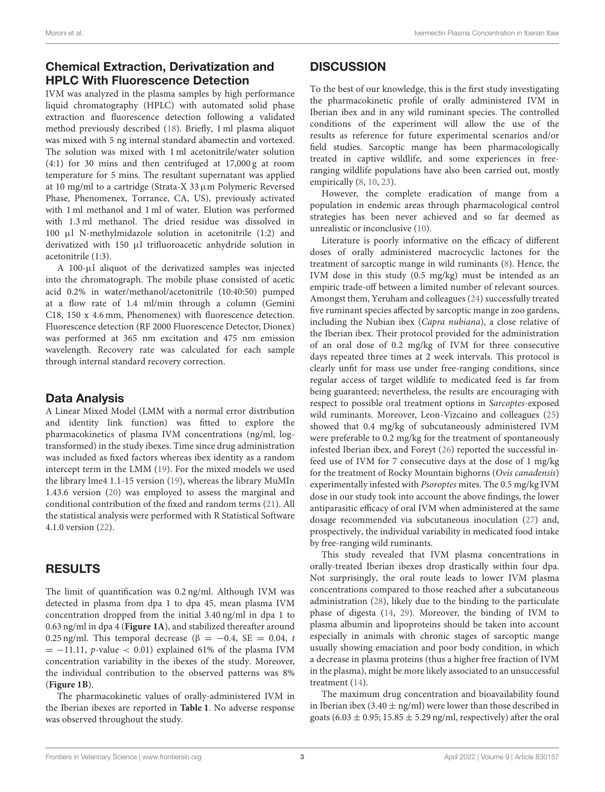## Chemical Extraction, Derivatization and HPLC With Fluorescence Detection

IVM was analyzed in the plasma samples by high performance liquid chromatography (HPLC) with automated solid phase extraction and fluorescence detection following a validated method previously described [\(18\)](#page-5-17). Briefly, 1 ml plasma aliquot was mixed with 5 ng internal standard abamectin and vortexed. The solution was mixed with 1 ml acetonitrile/water solution (4:1) for 30 mins and then centrifuged at 17,000 g at room temperature for 5 mins. The resultant supernatant was applied at 10 mg/ml to a cartridge (Strata-X 33  $\mu$ m Polymeric Reversed Phase, Phenomenex, Torrance, CA, US), previously activated with 1 ml methanol and 1 ml of water. Elution was performed with 1.3 ml methanol. The dried residue was dissolved in 100 µl N-methylmidazole solution in acetonitrile (1:2) and derivatized with 150 µl trifluoroacetic anhydride solution in acetonitrile (1:3).

A 100-µl aliquot of the derivatized samples was injected into the chromatograph. The mobile phase consisted of acetic acid 0.2% in water/methanol/acetonitrile (10:40:50) pumped at a flow rate of 1.4 ml/min through a column (Gemini C18, 150 x 4.6 mm, Phenomenex) with fluorescence detection. Fluorescence detection (RF 2000 Fluorescence Detector, Dionex) was performed at 365 nm excitation and 475 nm emission wavelength. Recovery rate was calculated for each sample through internal standard recovery correction.

#### Data Analysis

A Linear Mixed Model (LMM with a normal error distribution and identity link function) was fitted to explore the pharmacokinetics of plasma IVM concentrations (ng/ml, logtransformed) in the study ibexes. Time since drug administration was included as fixed factors whereas ibex identity as a random intercept term in the LMM [\(19\)](#page-5-18). For the mixed models we used the library lme4 1.1-15 version [\(19\)](#page-5-18), whereas the library MuMIn 1.43.6 version [\(20\)](#page-5-19) was employed to assess the marginal and conditional contribution of the fixed and random terms [\(21\)](#page-5-20). All the statistical analysis were performed with R Statistical Software 4.1.0 version [\(22\)](#page-5-21).

#### RESULTS

The limit of quantification was 0.2 ng/ml. Although IVM was detected in plasma from dpa 1 to dpa 45, mean plasma IVM concentration dropped from the initial 3.40 ng/ml in dpa 1 to 0.63 ng/ml in dpa 4 (**[Figure 1A](#page-3-0)**), and stabilized thereafter around 0.25 ng/ml. This temporal decrease ( $\beta = -0.4$ , SE = 0.04, t  $= -11.11$ , p-value < 0.01) explained 61% of the plasma IVM concentration variability in the ibexes of the study. Moreover, the individual contribution to the observed patterns was 8% (**[Figure 1B](#page-3-0)**).

The pharmacokinetic values of orally-administered IVM in the Iberian ibexes are reported in **[Table 1](#page-3-1)**. No adverse response was observed throughout the study.

## **DISCUSSION**

To the best of our knowledge, this is the first study investigating the pharmacokinetic profile of orally administered IVM in Iberian ibex and in any wild ruminant species. The controlled conditions of the experiment will allow the use of the results as reference for future experimental scenarios and/or field studies. Sarcoptic mange has been pharmacologically treated in captive wildlife, and some experiences in freeranging wildlife populations have also been carried out, mostly empirically [\(8,](#page-5-7) [10,](#page-5-9) [23\)](#page-5-22).

However, the complete eradication of mange from a population in endemic areas through pharmacological control strategies has been never achieved and so far deemed as unrealistic or inconclusive [\(10\)](#page-5-9).

Literature is poorly informative on the efficacy of different doses of orally administered macrocyclic lactones for the treatment of sarcoptic mange in wild ruminants [\(8\)](#page-5-7). Hence, the IVM dose in this study (0.5 mg/kg) must be intended as an empiric trade-off between a limited number of relevant sources. Amongst them, Yeruham and colleagues [\(24\)](#page-5-23) successfully treated five ruminant species affected by sarcoptic mange in zoo gardens, including the Nubian ibex (Capra nubiana), a close relative of the Iberian ibex. Their protocol provided for the administration of an oral dose of 0.2 mg/kg of IVM for three consecutive days repeated three times at 2 week intervals. This protocol is clearly unfit for mass use under free-ranging conditions, since regular access of target wildlife to medicated feed is far from being guaranteed; nevertheless, the results are encouraging with respect to possible oral treatment options in Sarcoptes-exposed wild ruminants. Moreover, Leon-Vizcaino and colleagues [\(25\)](#page-5-24) showed that 0.4 mg/kg of subcutaneously administered IVM were preferable to 0.2 mg/kg for the treatment of spontaneously infested Iberian ibex, and Foreyt [\(26\)](#page-5-25) reported the successful infeed use of IVM for 7 consecutive days at the dose of 1 mg/kg for the treatment of Rocky Mountain bighorns (Ovis canadensis) experimentally infested with Psoroptes mites. The 0.5 mg/kg IVM dose in our study took into account the above findings, the lower antiparasitic efficacy of oral IVM when administered at the same dosage recommended via subcutaneous inoculation [\(27\)](#page-5-26) and, prospectively, the individual variability in medicated food intake by free-ranging wild ruminants.

This study revealed that IVM plasma concentrations in orally-treated Iberian ibexes drop drastically within four dpa. Not surprisingly, the oral route leads to lower IVM plasma concentrations compared to those reached after a subcutaneous administration [\(28\)](#page-5-27), likely due to the binding to the particulate phase of digesta [\(14,](#page-5-13) [29\)](#page-5-28). Moreover, the binding of IVM to plasma albumin and lipoproteins should be taken into account especially in animals with chronic stages of sarcoptic mange usually showing emaciation and poor body condition, in which a decrease in plasma proteins (thus a higher free fraction of IVM in the plasma), might be more likely associated to an unsuccessful treatment [\(14\)](#page-5-13).

The maximum drug concentration and bioavailability found in Iberian ibex (3.40  $\pm$  ng/ml) were lower than those described in goats (6.03  $\pm$  0.95; 15.85  $\pm$  5.29 ng/ml, respectively) after the oral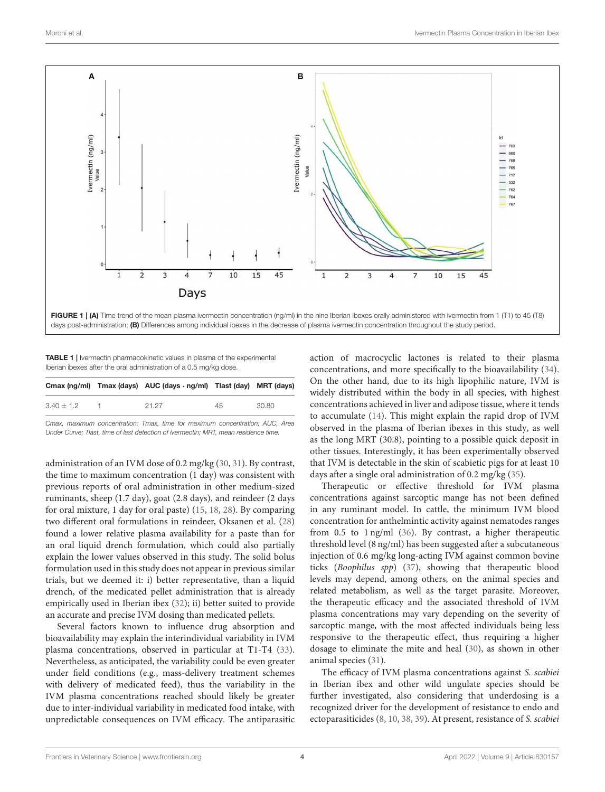

<span id="page-3-1"></span><span id="page-3-0"></span>**TABLE 1** | Ivermectin pharmacokinetic values in plasma of the experimental Iberian ibexes after the oral administration of a 0.5 mg/kg dose.

|              | Cmax $(ng/ml)$ Tmax $(days)$ AUC $(days \cdot ng/ml)$ Tlast $(day)$ MRT $(days)$ |    |       |
|--------------|----------------------------------------------------------------------------------|----|-------|
| $3.40 + 1.2$ | 21 27                                                                            | 45 | 30.80 |

Cmax, maximum concentration; Tmax, time for maximum concentration; AUC, Area Under Curve; Tlast, time of last detection of ivermectin; MRT, mean residence time.

administration of an IVM dose of 0.2 mg/kg [\(30,](#page-5-29) [31\)](#page-5-30). By contrast, the time to maximum concentration (1 day) was consistent with previous reports of oral administration in other medium-sized ruminants, sheep (1.7 day), goat (2.8 days), and reindeer (2 days for oral mixture, 1 day for oral paste) [\(15,](#page-5-14) [18,](#page-5-17) [28\)](#page-5-27). By comparing two different oral formulations in reindeer, Oksanen et al. [\(28\)](#page-5-27) found a lower relative plasma availability for a paste than for an oral liquid drench formulation, which could also partially explain the lower values observed in this study. The solid bolus formulation used in this study does not appear in previous similar trials, but we deemed it: i) better representative, than a liquid drench, of the medicated pellet administration that is already empirically used in Iberian ibex [\(32\)](#page-5-31); ii) better suited to provide an accurate and precise IVM dosing than medicated pellets.

Several factors known to influence drug absorption and bioavailability may explain the interindividual variability in IVM plasma concentrations, observed in particular at T1-T4 [\(33\)](#page-6-0). Nevertheless, as anticipated, the variability could be even greater under field conditions (e.g., mass-delivery treatment schemes with delivery of medicated feed), thus the variability in the IVM plasma concentrations reached should likely be greater due to inter-individual variability in medicated food intake, with unpredictable consequences on IVM efficacy. The antiparasitic action of macrocyclic lactones is related to their plasma concentrations, and more specifically to the bioavailability [\(34\)](#page-6-1). On the other hand, due to its high lipophilic nature, IVM is widely distributed within the body in all species, with highest concentrations achieved in liver and adipose tissue, where it tends to accumulate [\(14\)](#page-5-13). This might explain the rapid drop of IVM observed in the plasma of Iberian ibexes in this study, as well as the long MRT (30.8), pointing to a possible quick deposit in other tissues. Interestingly, it has been experimentally observed that IVM is detectable in the skin of scabietic pigs for at least 10 days after a single oral administration of 0.2 mg/kg [\(35\)](#page-6-2).

Therapeutic or effective threshold for IVM plasma concentrations against sarcoptic mange has not been defined in any ruminant model. In cattle, the minimum IVM blood concentration for anthelmintic activity against nematodes ranges from 0.5 to 1 ng/ml [\(36\)](#page-6-3). By contrast, a higher therapeutic threshold level (8 ng/ml) has been suggested after a subcutaneous injection of 0.6 mg/kg long-acting IVM against common bovine ticks (Boophilus spp) [\(37\)](#page-6-4), showing that therapeutic blood levels may depend, among others, on the animal species and related metabolism, as well as the target parasite. Moreover, the therapeutic efficacy and the associated threshold of IVM plasma concentrations may vary depending on the severity of sarcoptic mange, with the most affected individuals being less responsive to the therapeutic effect, thus requiring a higher dosage to eliminate the mite and heal [\(30\)](#page-5-29), as shown in other animal species [\(31\)](#page-5-30).

The efficacy of IVM plasma concentrations against S. scabiei in Iberian ibex and other wild ungulate species should be further investigated, also considering that underdosing is a recognized driver for the development of resistance to endo and ectoparasiticides [\(8,](#page-5-7) [10,](#page-5-9) [38,](#page-6-5) [39\)](#page-6-6). At present, resistance of S. scabiei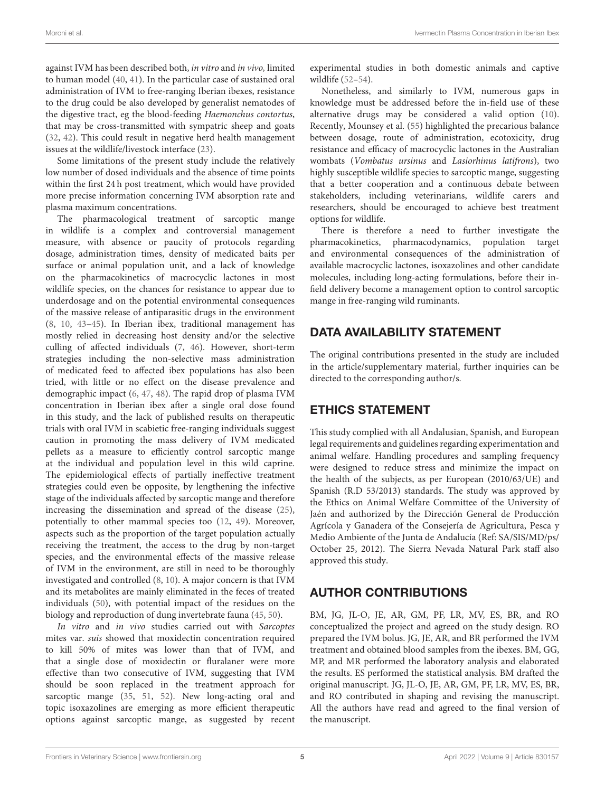against IVM has been described both, in vitro and in vivo, limited to human model [\(40,](#page-6-7) [41\)](#page-6-8). In the particular case of sustained oral administration of IVM to free-ranging Iberian ibexes, resistance to the drug could be also developed by generalist nematodes of the digestive tract, eg the blood-feeding Haemonchus contortus, that may be cross-transmitted with sympatric sheep and goats [\(32,](#page-5-31) [42\)](#page-6-9). This could result in negative herd health management issues at the wildlife/livestock interface [\(23\)](#page-5-22).

Some limitations of the present study include the relatively low number of dosed individuals and the absence of time points within the first 24 h post treatment, which would have provided more precise information concerning IVM absorption rate and plasma maximum concentrations.

The pharmacological treatment of sarcoptic mange in wildlife is a complex and controversial management measure, with absence or paucity of protocols regarding dosage, administration times, density of medicated baits per surface or animal population unit, and a lack of knowledge on the pharmacokinetics of macrocyclic lactones in most wildlife species, on the chances for resistance to appear due to underdosage and on the potential environmental consequences of the massive release of antiparasitic drugs in the environment [\(8,](#page-5-7) [10,](#page-5-9) [43–](#page-6-10)[45\)](#page-6-11). In Iberian ibex, traditional management has mostly relied in decreasing host density and/or the selective culling of affected individuals [\(7,](#page-5-6) [46\)](#page-6-12). However, short-term strategies including the non-selective mass administration of medicated feed to affected ibex populations has also been tried, with little or no effect on the disease prevalence and demographic impact [\(6,](#page-5-5) [47,](#page-6-13) [48\)](#page-6-14). The rapid drop of plasma IVM concentration in Iberian ibex after a single oral dose found in this study, and the lack of published results on therapeutic trials with oral IVM in scabietic free-ranging individuals suggest caution in promoting the mass delivery of IVM medicated pellets as a measure to efficiently control sarcoptic mange at the individual and population level in this wild caprine. The epidemiological effects of partially ineffective treatment strategies could even be opposite, by lengthening the infective stage of the individuals affected by sarcoptic mange and therefore increasing the dissemination and spread of the disease [\(25\)](#page-5-24), potentially to other mammal species too [\(12,](#page-5-11) [49\)](#page-6-15). Moreover, aspects such as the proportion of the target population actually receiving the treatment, the access to the drug by non-target species, and the environmental effects of the massive release of IVM in the environment, are still in need to be thoroughly investigated and controlled [\(8,](#page-5-7) [10\)](#page-5-9). A major concern is that IVM and its metabolites are mainly eliminated in the feces of treated individuals [\(50\)](#page-6-16), with potential impact of the residues on the biology and reproduction of dung invertebrate fauna [\(45,](#page-6-11) [50\)](#page-6-16).

In vitro and in vivo studies carried out with Sarcoptes mites var. suis showed that moxidectin concentration required to kill 50% of mites was lower than that of IVM, and that a single dose of moxidectin or fluralaner were more effective than two consecutive of IVM, suggesting that IVM should be soon replaced in the treatment approach for sarcoptic mange [\(35,](#page-6-2) [51,](#page-6-17) [52\)](#page-6-18). New long-acting oral and topic isoxazolines are emerging as more efficient therapeutic options against sarcoptic mange, as suggested by recent experimental studies in both domestic animals and captive wildlife [\(52–](#page-6-18)[54\)](#page-6-19).

Nonetheless, and similarly to IVM, numerous gaps in knowledge must be addressed before the in-field use of these alternative drugs may be considered a valid option [\(10\)](#page-5-9). Recently, Mounsey et al. [\(55\)](#page-6-20) highlighted the precarious balance between dosage, route of administration, ecotoxicity, drug resistance and efficacy of macrocyclic lactones in the Australian wombats (Vombatus ursinus and Lasiorhinus latifrons), two highly susceptible wildlife species to sarcoptic mange, suggesting that a better cooperation and a continuous debate between stakeholders, including veterinarians, wildlife carers and researchers, should be encouraged to achieve best treatment options for wildlife.

There is therefore a need to further investigate the pharmacokinetics, pharmacodynamics, population target and environmental consequences of the administration of available macrocyclic lactones, isoxazolines and other candidate molecules, including long-acting formulations, before their infield delivery become a management option to control sarcoptic mange in free-ranging wild ruminants.

## DATA AVAILABILITY STATEMENT

The original contributions presented in the study are included in the article/supplementary material, further inquiries can be directed to the corresponding author/s.

# ETHICS STATEMENT

This study complied with all Andalusian, Spanish, and European legal requirements and guidelines regarding experimentation and animal welfare. Handling procedures and sampling frequency were designed to reduce stress and minimize the impact on the health of the subjects, as per European (2010/63/UE) and Spanish (R.D 53/2013) standards. The study was approved by the Ethics on Animal Welfare Committee of the University of Jaén and authorized by the Dirección General de Producción Agrícola y Ganadera of the Consejería de Agricultura, Pesca y Medio Ambiente of the Junta de Andalucía (Ref: SA/SIS/MD/ps/ October 25, 2012). The Sierra Nevada Natural Park staff also approved this study.

# AUTHOR CONTRIBUTIONS

BM, JG, JL-O, JE, AR, GM, PF, LR, MV, ES, BR, and RO conceptualized the project and agreed on the study design. RO prepared the IVM bolus. JG, JE, AR, and BR performed the IVM treatment and obtained blood samples from the ibexes. BM, GG, MP, and MR performed the laboratory analysis and elaborated the results. ES performed the statistical analysis. BM drafted the original manuscript. JG, JL-O, JE, AR, GM, PF, LR, MV, ES, BR, and RO contributed in shaping and revising the manuscript. All the authors have read and agreed to the final version of the manuscript.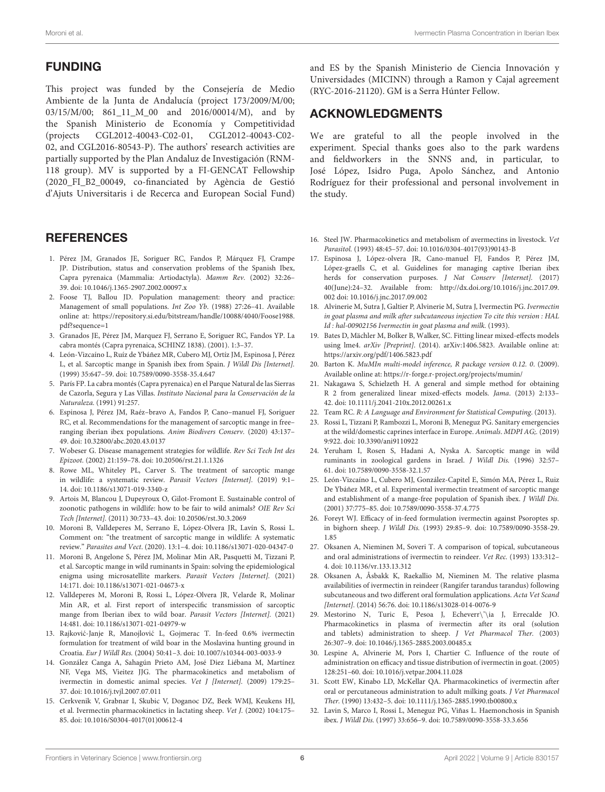## FUNDING

This project was funded by the Consejería de Medio Ambiente de la Junta de Andalucía (project 173/2009/M/00; 03/15/M/00; 861 11 M 00 and 2016/00014/M), and by the Spanish Ministerio de Economía y Competitividad (projects CGL2012-40043-C02-01, CGL2012-40043-C02- 02, and CGL2016-80543-P). The authors' research activities are partially supported by the Plan Andaluz de Investigación (RNM-118 group). MV is supported by a FI-GENCAT Fellowship (2020\_FI\_B2\_00049, co-financiated by Agència de Gestió d'Ajuts Universitaris i de Recerca and European Social Fund)

#### **REFERENCES**

- <span id="page-5-0"></span>1. Pérez JM, Granados JE, Soriguer RC, Fandos P, Márquez FJ, Crampe JP. Distribution, status and conservation problems of the Spanish Ibex, Capra pyrenaica (Mammalia: Artiodactyla). Mamm Rev. (2002) 32:26– 39. doi: [10.1046/j.1365-2907.2002.00097.x](https://doi.org/10.1046/j.1365-2907.2002.00097.x)
- <span id="page-5-1"></span>2. Foose TJ, Ballou JD. Population management: theory and practice: Management of small populations. Int Zoo Yb. (1988) 27:26–41. Available online at: [https://repository.si.edu/bitstream/handle/10088/4040/Foose1988.](https://repository.si.edu/bitstream/handle/10088/4040/Foose1988.pdf?sequence=1) [pdf?sequence=1](https://repository.si.edu/bitstream/handle/10088/4040/Foose1988.pdf?sequence=1)
- <span id="page-5-2"></span>3. Granados JE, Pérez JM, Marquez FJ, Serrano E, Soriguer RC, Fandos YP. La cabra montés (Capra pyrenaica, SCHINZ 1838). (2001). 1:3–37.
- <span id="page-5-3"></span>4. León-Vizcaíno L, Ruíz de Ybáñez MR, Cubero MJ, Ortíz JM, Espinosa J, Pérez L, et al. Sarcoptic mange in Spanish ibex from Spain. J Wildl Dis [Internet]. (1999) 35:647–59. doi: [10.7589/0090-3558-35.4.647](https://doi.org/10.7589/0090-3558-35.4.647)
- <span id="page-5-4"></span>5. París FP. La cabra montés (Capra pyrenaica) en el Parque Natural de las Sierras de Cazorla, Segura y Las Villas. Instituto Nacional para la Conservación de la Naturaleza. (1991) 91:257.
- <span id="page-5-5"></span>6. Espinosa J, Pérez JM, Raéz–bravo A, Fandos P, Cano–manuel FJ, Soriguer RC, et al. Recommendations for the management of sarcoptic mange in free– ranging iberian ibex populations. Anim Biodivers Conserv. (2020) 43:137– 49. doi: [10.32800/abc.2020.43.0137](https://doi.org/10.32800/abc.2020.43.0137)
- <span id="page-5-6"></span>7. Wobeser G. Disease management strategies for wildlife. Rev Sci Tech Int des Epizoot. (2002) 21:159–78. doi: [10.20506/rst.21.1.1326](https://doi.org/10.20506/rst.21.1.1326)
- <span id="page-5-7"></span>Rowe ML, Whiteley PL, Carver S. The treatment of sarcoptic mange in wildlife: a systematic review. Parasit Vectors [Internet]. (2019) 9:1– 14. doi: [10.1186/s13071-019-3340-z](https://doi.org/10.1186/s13071-019-3340-z)
- <span id="page-5-8"></span>9. Artois M, Blancou J, Dupeyroux O, Gilot-Fromont E. Sustainable control of zoonotic pathogens in wildlife: how to be fair to wild animals? OIE Rev Sci Tech [Internet]. (2011) 30:733–43. doi: [10.20506/rst.30.3.2069](https://doi.org/10.20506/rst.30.3.2069)
- <span id="page-5-9"></span>10. Moroni B, Valldeperes M, Serrano E, López-Olvera JR, Lavín S, Rossi L. Comment on: "the treatment of sarcoptic mange in wildlife: A systematic review." Parasites and Vect. (2020). 13:1–4. doi: [10.1186/s13071-020-04347-0](https://doi.org/10.1186/s13071-020-04347-0)
- <span id="page-5-10"></span>11. Moroni B, Angelone S, Pérez JM, Molinar Min AR, Pasquetti M, Tizzani P, et al. Sarcoptic mange in wild ruminants in Spain: solving the epidemiological enigma using microsatellite markers. Parasit Vectors [Internet]. (2021) 14:171. doi: [10.1186/s13071-021-04673-x](https://doi.org/10.1186/s13071-021-04673-x)
- <span id="page-5-11"></span>12. Valldeperes M, Moroni B, Rossi L, López-Olvera JR, Velarde R, Molinar Min AR, et al. First report of interspecific transmission of sarcoptic mange from Iberian ibex to wild boar. Parasit Vectors [Internet]. (2021) 14:481. doi: [10.1186/s13071-021-04979-w](https://doi.org/10.1186/s13071-021-04979-w)
- <span id="page-5-12"></span>13. Rajković-Janje R, Manojlović L, Gojmerac T. In-feed 0.6% ivermectin formulation for treatment of wild boar in the Moslavina hunting ground in Croatia. Eur J Wildl Res. (2004) 50:41–3. doi: [10.1007/s10344-003-0033-9](https://doi.org/10.1007/s10344-003-0033-9)
- <span id="page-5-13"></span>14. González Canga A, Sahagún Prieto AM, José Diez Liébana M, Martínez NF, Vega MS, Vieitez JJG. The pharmacokinetics and metabolism of ivermectin in domestic animal species. Vet J [Internet]. (2009) 179:25– 37. doi: [10.1016/j.tvjl.2007.07.011](https://doi.org/10.1016/j.tvjl.2007.07.011)
- <span id="page-5-14"></span>15. Cerkvenik V, Grabnar I, Skubic V, Doganoc DZ, Beek WMJ, Keukens HJ, et al. Ivermectin pharmacokinetics in lactating sheep. Vet J. (2002) 104:175– 85. doi: [10.1016/S0304-4017\(01\)00612-4](https://doi.org/10.1016/S0304-4017(01)00612-4)

and ES by the Spanish Ministerio de Ciencia Innovación y Universidades (MICINN) through a Ramon y Cajal agreement (RYC-2016-21120). GM is a Serra Húnter Fellow.

## ACKNOWLEDGMENTS

We are grateful to all the people involved in the experiment. Special thanks goes also to the park wardens and fieldworkers in the SNNS and, in particular, to José López, Isidro Puga, Apolo Sánchez, and Antonio Rodríguez for their professional and personal involvement in the study.

- <span id="page-5-15"></span>16. Steel JW. Pharmacokinetics and metabolism of avermectins in livestock. Vet Parasitol. (1993) 48:45–57. doi: [10.1016/0304-4017\(93\)90143-B](https://doi.org/10.1016/0304-4017(93)90143-B)
- <span id="page-5-16"></span>17. Espinosa J, López-olvera JR, Cano-manuel FJ, Fandos P, Pérez JM, López-graells C, et al. Guidelines for managing captive Iberian ibex herds for conservation purposes. J Nat Conserv [Internet]. (2017) 40(June):24–32. Available from: [http://dx.doi.org/10.1016/j.jnc.2017.09.](http://dx.doi.org/10.1016/j.jnc.2017.09.002) [002](http://dx.doi.org/10.1016/j.jnc.2017.09.002) doi: [10.1016/j.jnc.2017.09.002](https://doi.org/10.1016/j.jnc.2017.09.002)
- <span id="page-5-17"></span>18. Alvinerie M, Sutra J, Galtier P, Alvinerie M, Sutra J, Ivermectin PG. Ivermectin in goat plasma and milk after subcutaneous injection To cite this version : HAL Id : hal-00902156 Ivermectin in goat plasma and milk. (1993).
- <span id="page-5-18"></span>19. Bates D, Mächler M, Bolker B, Walker, SC. Fitting linear mixed-effects models using lme4. arXiv [Preprint]. (2014). arXiv:1406.5823. Available online at: <https://arxiv.org/pdf/1406.5823.pdf>
- <span id="page-5-19"></span>20. Barton K. MuMIn multi-model inference, R package version 0.12. 0. (2009). Available online at:<https://r-forge.r-project.org/projects/mumin/>
- <span id="page-5-20"></span>21. Nakagawa S, Schielzeth H. A general and simple method for obtaining R 2 from generalized linear mixed-effects models. Jama. (2013) 2:133– 42. doi: [10.1111/j.2041-210x.2012.00261.x](https://doi.org/10.1111/j.2041-210x.2012.00261.x)
- <span id="page-5-21"></span>22. Team RC. R: A Language and Environment for Statistical Computing. (2013).
- <span id="page-5-22"></span>23. Rossi L, Tizzani P, Rambozzi L, Moroni B, Meneguz PG. Sanitary emergencies at the wild/domestic caprines interface in Europe. Animals. MDPI AG;. (2019) 9:922. doi: [10.3390/ani9110922](https://doi.org/10.3390/ani9110922)
- <span id="page-5-23"></span>24. Yeruham I, Rosen S, Hadani A, Nyska A. Sarcoptic mange in wild ruminants in zoological gardens in Israel. J Wildl Dis. (1996) 32:57– 61. doi: [10.7589/0090-3558-32.1.57](https://doi.org/10.7589/0090-3558-32.1.57)
- <span id="page-5-24"></span>25. León-Vizcaíno L, Cubero MJ, González-Capitel E, Simón MA, Pérez L, Ruiz De Ybáñez MR, et al. Experimental ivermectin treatment of sarcoptic mange and establishment of a mange-free population of Spanish ibex. J Wildl Dis. (2001) 37:775–85. doi: [10.7589/0090-3558-37.4.775](https://doi.org/10.7589/0090-3558-37.4.775)
- <span id="page-5-25"></span>26. Foreyt WJ. Efficacy of in-feed formulation ivermectin against Psoroptes sp. in bighorn sheep. J Wildl Dis. [\(1993\) 29:85–9. doi: 10.7589/0090-3558-29.](https://doi.org/10.7589/0090-3558-29.1.85) 1.85
- <span id="page-5-26"></span>27. Oksanen A, Nieminen M, Soveri T. A comparison of topical, subcutaneous and oral administrations of ivermectin to reindeer. Vet Rec. (1993) 133:312– 4. doi: [10.1136/vr.133.13.312](https://doi.org/10.1136/vr.133.13.312)
- <span id="page-5-27"></span>28. Oksanen A, Åsbakk K, Raekallio M, Nieminen M. The relative plasma availabilities of ivermectin in reindeer (Rangifer tarandus tarandus) following subcutaneous and two different oral formulation applications. Acta Vet Scand [Internet]. (2014) 56:76. doi: [10.1186/s13028-014-0076-9](https://doi.org/10.1186/s13028-014-0076-9)
- <span id="page-5-28"></span>29. Mestorino N, Turic E, Pesoa J, Echeverr\'\ia J, Errecalde JO. Pharmacokinetics in plasma of ivermectin after its oral (solution and tablets) administration to sheep. J Vet Pharmacol Ther. (2003) 26:307–9. doi: [10.1046/j.1365-2885.2003.00485.x](https://doi.org/10.1046/j.1365-2885.2003.00485.x)
- <span id="page-5-29"></span>30. Lespine A, Alvinerie M, Pors I, Chartier C. Influence of the route of administration on efficacy and tissue distribution of ivermectin in goat. (2005) 128:251–60. doi: [10.1016/j.vetpar.2004.11.028](https://doi.org/10.1016/j.vetpar.2004.11.028)
- <span id="page-5-30"></span>31. Scott EW, Kinabo LD, McKellar QA. Pharmacokinetics of ivermectin after oral or percutaneous administration to adult milking goats. J Vet Pharmacol Ther. (1990) 13:432–5. doi: [10.1111/j.1365-2885.1990.tb00800.x](https://doi.org/10.1111/j.1365-2885.1990.tb00800.x)
- <span id="page-5-31"></span>32. Lavin S, Marco I, Rossi L, Meneguz PG, Viñas L. Haemonchosis in Spanish ibex. J Wildl Dis. (1997) 33:656–9. doi: [10.7589/0090-3558-33.3.656](https://doi.org/10.7589/0090-3558-33.3.656)